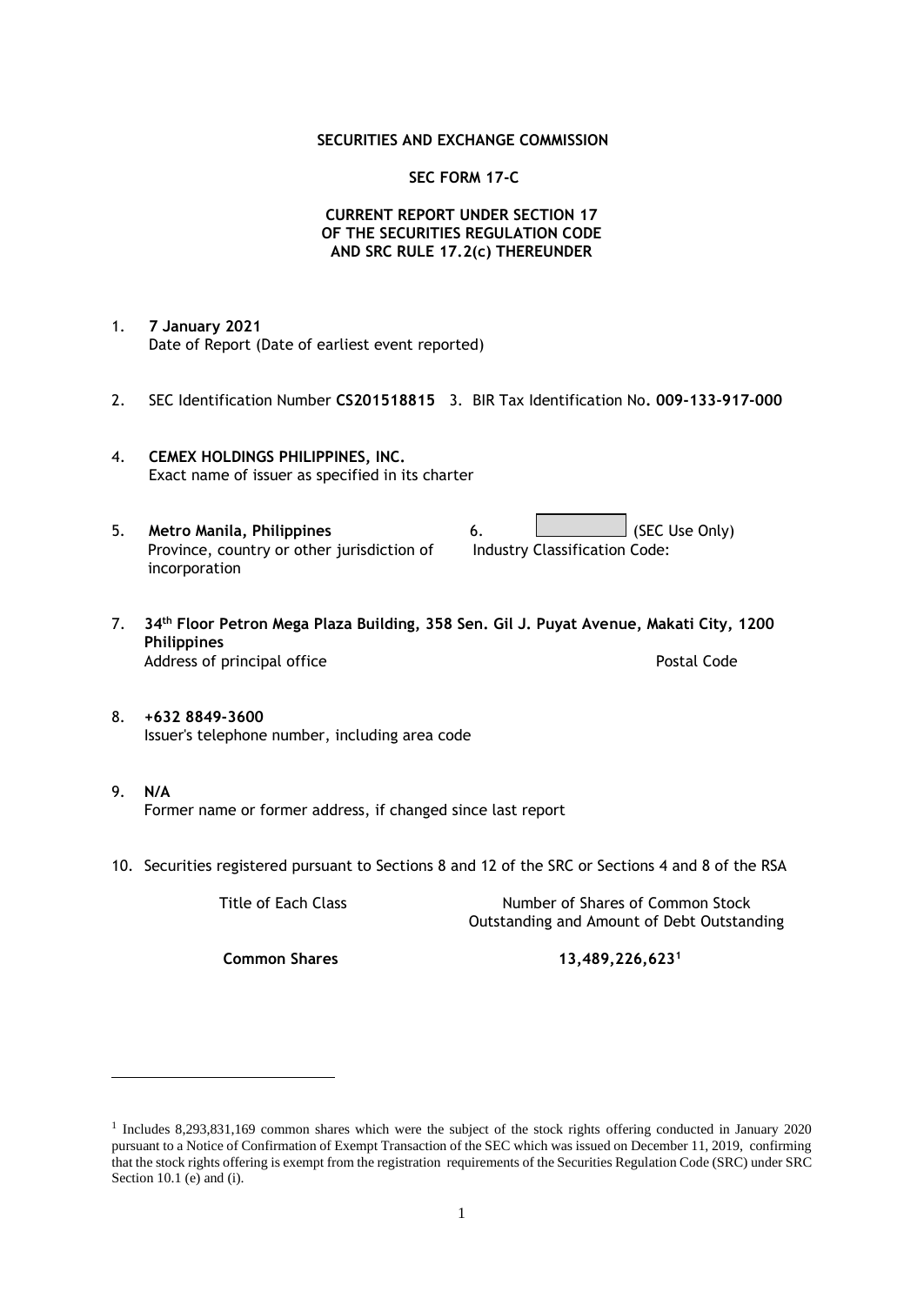## **SECURITIES AND EXCHANGE COMMISSION**

## **SEC FORM 17-C**

# **CURRENT REPORT UNDER SECTION 17 OF THE SECURITIES REGULATION CODE AND SRC RULE 17.2(c) THEREUNDER**

- 1. **7 January 2021** Date of Report (Date of earliest event reported)
- 2. SEC Identification Number **CS201518815** 3. BIR Tax Identification No**. 009-133-917-000**
- 4. **CEMEX HOLDINGS PHILIPPINES, INC.** Exact name of issuer as specified in its charter
- 5. **Metro Manila, Philippines** 6. **Consumers 6.** (SEC Use Only) Province, country or other jurisdiction of incorporation Industry Classification Code:
- 7. **34th Floor Petron Mega Plaza Building, 358 Sen. Gil J. Puyat Avenue, Makati City, 1200 Philippines** Address of principal office **Postal Code** Postal Code
- 8. **+632 8849-3600** Issuer's telephone number, including area code
- 9. **N/A** Former name or former address, if changed since last report
- 10. Securities registered pursuant to Sections 8 and 12 of the SRC or Sections 4 and 8 of the RSA

Title of Each Class Number of Shares of Common Stock Outstanding and Amount of Debt Outstanding

**Common Shares 13,489,226,623<sup>1</sup>**

<sup>1</sup> Includes 8,293,831,169 common shares which were the subject of the stock rights offering conducted in January 2020 pursuant to a Notice of Confirmation of Exempt Transaction of the SEC which was issued on December 11, 2019, confirming that the stock rights offering is exempt from the registration requirements of the Securities Regulation Code (SRC) under SRC Section 10.1 (e) and (i).